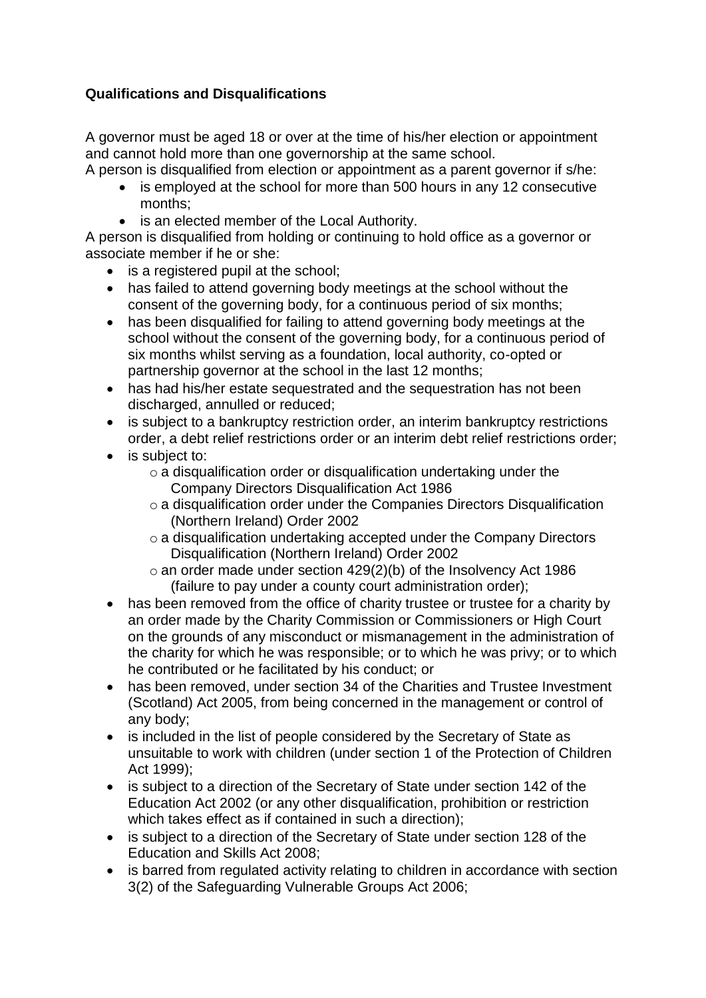## **Qualifications and Disqualifications**

A governor must be aged 18 or over at the time of his/her election or appointment and cannot hold more than one governorship at the same school.

A person is disqualified from election or appointment as a parent governor if s/he:

- is employed at the school for more than 500 hours in any 12 consecutive months;
- is an elected member of the Local Authority.

A person is disqualified from holding or continuing to hold office as a governor or associate member if he or she:

- is a registered pupil at the school;
- has failed to attend governing body meetings at the school without the consent of the governing body, for a continuous period of six months;
- has been disqualified for failing to attend governing body meetings at the school without the consent of the governing body, for a continuous period of six months whilst serving as a foundation, local authority, co-opted or partnership governor at the school in the last 12 months;
- has had his/her estate sequestrated and the sequestration has not been discharged, annulled or reduced;
- is subject to a bankruptcy restriction order, an interim bankruptcy restrictions order, a debt relief restrictions order or an interim debt relief restrictions order;
- is subject to:
	- $\circ$  a disqualification order or disqualification undertaking under the Company Directors Disqualification Act 1986
	- o a disqualification order under the Companies Directors Disqualification (Northern Ireland) Order 2002
	- o a disqualification undertaking accepted under the Company Directors Disqualification (Northern Ireland) Order 2002
	- $\circ$  an order made under section 429(2)(b) of the Insolvency Act 1986 (failure to pay under a county court administration order);
- has been removed from the office of charity trustee or trustee for a charity by an order made by the Charity Commission or Commissioners or High Court on the grounds of any misconduct or mismanagement in the administration of the charity for which he was responsible; or to which he was privy; or to which he contributed or he facilitated by his conduct; or
- has been removed, under section 34 of the Charities and Trustee Investment (Scotland) Act 2005, from being concerned in the management or control of any body;
- is included in the list of people considered by the Secretary of State as unsuitable to work with children (under section 1 of the Protection of Children Act 1999);
- is subject to a direction of the Secretary of State under section 142 of the Education Act 2002 (or any other disqualification, prohibition or restriction which takes effect as if contained in such a direction);
- is subject to a direction of the Secretary of State under section 128 of the Education and Skills Act 2008;
- is barred from regulated activity relating to children in accordance with section 3(2) of the Safeguarding Vulnerable Groups Act 2006;